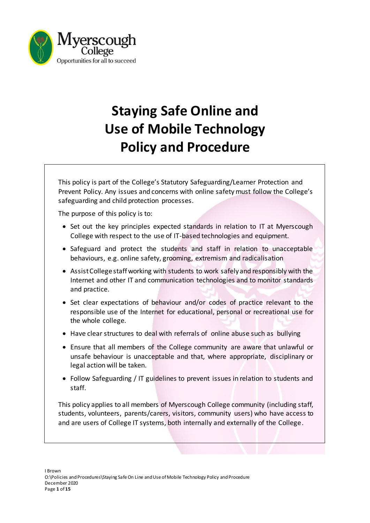

# **Staying Safe Online and Use of Mobile Technology Policy and Procedure**

This policy is part of the College's Statutory Safeguarding/Learner Protection and Prevent Policy. Any issues and concerns with online safety must follow the College's safeguarding and child protection processes.

The purpose of this policy is to:

- Set out the key principles expected standards in relation to IT at Myerscough College with respect to the use of IT-based technologies and equipment.
- Safeguard and protect the students and staff in relation to unacceptable behaviours, e.g. online safety, grooming, extremism and radicalisation
- Assist College staff working with students to work safely and responsibly with the Internet and other IT and communication technologies and to monitor standards and practice.
- Set clear expectations of behaviour and/or codes of practice relevant to the responsible use of the Internet for educational, personal or recreational use for the whole college.
- Have clear structures to deal with referrals of online abuse such as bullying
- Ensure that all members of the College community are aware that unlawful or unsafe behaviour is unacceptable and that, where appropriate, disciplinary or legal action will be taken.
- Follow Safeguarding / IT guidelines to prevent issues in relation to students and staff.

This policy applies to all members of Myerscough College community (including staff, students, volunteers, parents/carers, visitors, community users) who have access to and are users of College IT systems, both internally and externally of the College.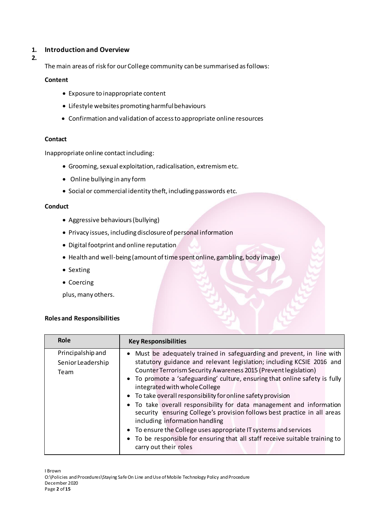## **1. Introduction and Overview**

**2.**

The main areas of risk for our College community can be summarised as follows:

#### **Content**

- Exposure to inappropriate content
- Lifestyle websites promoting harmful behaviours
- Confirmation and validation of access to appropriate online resources

#### **Contact**

Inappropriate online contact including:

- Grooming,sexual exploitation, radicalisation, extremism etc.
- Online bullying in any form
- Social or commercial identity theft, including passwords etc.

#### **Conduct**

- Aggressive behaviours (bullying)
- Privacy issues, including disclosure of personal information
- Digital footprint and online reputation
- Health and well-being (amount of time spent online, gambling, body image)
- Sexting
- Coercing

plus, many others.

#### **Roles and Responsibilities**

| Role                                           | <b>Key Responsibilities</b>                                                                                                                                                                                                                                                                                                                                                                                                                                                                                                                                                                                                                                                                                                                                         |  |  |  |
|------------------------------------------------|---------------------------------------------------------------------------------------------------------------------------------------------------------------------------------------------------------------------------------------------------------------------------------------------------------------------------------------------------------------------------------------------------------------------------------------------------------------------------------------------------------------------------------------------------------------------------------------------------------------------------------------------------------------------------------------------------------------------------------------------------------------------|--|--|--|
| Principalship and<br>Senior Leadership<br>Team | Must be adequately trained in safeguarding and prevent, in line with<br>statutory guidance and relevant legislation; including KCSIE 2016 and<br>Counter Terrorism Security Awareness 2015 (Prevent legislation)<br>• To promote a 'safeguarding' culture, ensuring that online safety is fully<br>integrated with whole College<br>• To take overall responsibility for online safety provision<br>• To take overall responsibility for data management and information<br>security ensuring College's provision follows best practice in all areas<br>including information handling<br>• To ensure the College uses appropriate IT systems and services<br>• To be responsible for ensuring that all staff receive suitable training to<br>carry out their roles |  |  |  |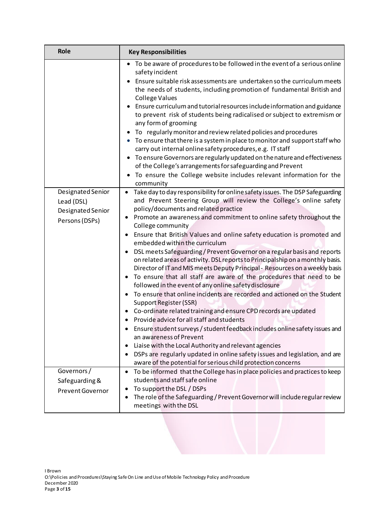| Role                                                                                                 | <b>Key Responsibilities</b>                                                                                                                                                                                                                                                                                                                                                                                                                                                                                                                                                                                                                                                                                                                                                                                                                                                                                                                                                                                                                                                                                                                                                                                                                                                                                                                                                                                                                                                                                                                                                                                                                                                                                                                                                                                                                                                                                                                                                                                                                                                                                                                                                                |  |  |  |
|------------------------------------------------------------------------------------------------------|--------------------------------------------------------------------------------------------------------------------------------------------------------------------------------------------------------------------------------------------------------------------------------------------------------------------------------------------------------------------------------------------------------------------------------------------------------------------------------------------------------------------------------------------------------------------------------------------------------------------------------------------------------------------------------------------------------------------------------------------------------------------------------------------------------------------------------------------------------------------------------------------------------------------------------------------------------------------------------------------------------------------------------------------------------------------------------------------------------------------------------------------------------------------------------------------------------------------------------------------------------------------------------------------------------------------------------------------------------------------------------------------------------------------------------------------------------------------------------------------------------------------------------------------------------------------------------------------------------------------------------------------------------------------------------------------------------------------------------------------------------------------------------------------------------------------------------------------------------------------------------------------------------------------------------------------------------------------------------------------------------------------------------------------------------------------------------------------------------------------------------------------------------------------------------------------|--|--|--|
| Designated Senior<br>Lead (DSL)<br>Designated Senior<br>Persons (DSPs)                               | • To be aware of procedures to be followed in the event of a serious online<br>safety incident<br>Ensure suitable risk assessments are undertaken so the curriculum meets<br>the needs of students, including promotion of fundamental British and<br><b>College Values</b><br>Ensure curriculum and tutorial resources include information and guidance<br>to prevent risk of students being radicalised or subject to extremism or<br>any form of grooming<br>To regularly monitor and review related policies and procedures<br>• To ensure that there is a system in place to monitor and support staff who<br>carry out internal online safety procedures, e.g. IT staff<br>To ensure Governors are regularly updated on the nature and effectiveness<br>of the College's arrangements for safeguarding and Prevent<br>To ensure the College website includes relevant information for the<br>$\bullet$<br>community<br>Take day to day responsibility for online safety issues. The DSP Safeguarding<br>$\bullet$<br>and Prevent Steering Group will review the College's online safety<br>policy/documents and related practice<br>Promote an awareness and commitment to online safety throughout the<br>٠<br>College community<br>Ensure that British Values and online safety education is promoted and<br>$\bullet$<br>embedded within the curriculum<br>DSL meets Safeguarding / Prevent Governor on a regular basis and reports<br>٠<br>on related areas of activity. DSL reports to Principalship on a monthly basis.<br>Director of IT and MIS meets Deputy Principal - Resources on a weekly basis<br>To ensure that all staff are aware of the procedures that need to be<br>$\bullet$<br>followed in the event of any online safety disclosure<br>To ensure that online incidents are recorded and actioned on the Student<br>$\bullet$<br>Support Register (SSR)<br>Co-ordinate related training and ensure CPD records are updated<br>$\bullet$<br>• Provide advice for all staff and students<br>Ensure student surveys / student feedback includes online safety issues and<br>an awareness of Prevent<br>Liaise with the Local Authority and relevant agencies<br>٠ |  |  |  |
|                                                                                                      | DSPs are regularly updated in online safety issues and legislation, and are<br>$\bullet$<br>aware of the potential for serious child protection concerns                                                                                                                                                                                                                                                                                                                                                                                                                                                                                                                                                                                                                                                                                                                                                                                                                                                                                                                                                                                                                                                                                                                                                                                                                                                                                                                                                                                                                                                                                                                                                                                                                                                                                                                                                                                                                                                                                                                                                                                                                                   |  |  |  |
| Governors/<br>Safeguarding &                                                                         | To be informed that the College has in place policies and practices to keep<br>٠<br>students and staff safe online                                                                                                                                                                                                                                                                                                                                                                                                                                                                                                                                                                                                                                                                                                                                                                                                                                                                                                                                                                                                                                                                                                                                                                                                                                                                                                                                                                                                                                                                                                                                                                                                                                                                                                                                                                                                                                                                                                                                                                                                                                                                         |  |  |  |
| <b>Prevent Governor</b>                                                                              | To support the DSL / DSPs<br>$\bullet$                                                                                                                                                                                                                                                                                                                                                                                                                                                                                                                                                                                                                                                                                                                                                                                                                                                                                                                                                                                                                                                                                                                                                                                                                                                                                                                                                                                                                                                                                                                                                                                                                                                                                                                                                                                                                                                                                                                                                                                                                                                                                                                                                     |  |  |  |
| The role of the Safeguarding / Prevent Governor will include regular review<br>meetings with the DSL |                                                                                                                                                                                                                                                                                                                                                                                                                                                                                                                                                                                                                                                                                                                                                                                                                                                                                                                                                                                                                                                                                                                                                                                                                                                                                                                                                                                                                                                                                                                                                                                                                                                                                                                                                                                                                                                                                                                                                                                                                                                                                                                                                                                            |  |  |  |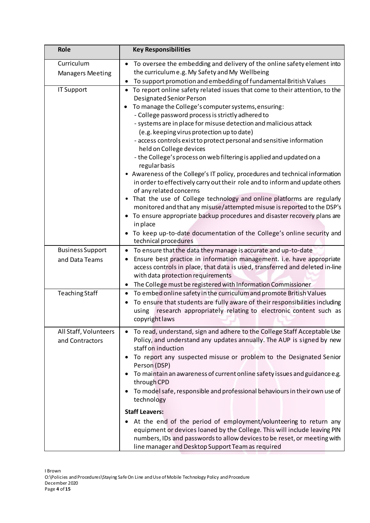| <b>Role</b>             | <b>Key Responsibilities</b>                                                                                                                                                                                                                                                     |  |  |  |
|-------------------------|---------------------------------------------------------------------------------------------------------------------------------------------------------------------------------------------------------------------------------------------------------------------------------|--|--|--|
| Curriculum              | To oversee the embedding and delivery of the online safety element into<br>$\bullet$                                                                                                                                                                                            |  |  |  |
| <b>Managers Meeting</b> | the curriculum e.g. My Safety and My Wellbeing                                                                                                                                                                                                                                  |  |  |  |
|                         | To support promotion and embedding of fundamental British Values<br>$\bullet$                                                                                                                                                                                                   |  |  |  |
| IT Support              | To report online safety related issues that come to their attention, to the<br>$\bullet$<br>Designated Senior Person<br>To manage the College's computer systems, ensuring:                                                                                                     |  |  |  |
|                         | - College password process is strictly adhered to                                                                                                                                                                                                                               |  |  |  |
|                         | - systems are in place for misuse detection and malicious attack                                                                                                                                                                                                                |  |  |  |
|                         | (e.g. keeping virus protection up to date)                                                                                                                                                                                                                                      |  |  |  |
|                         | - access controls exist to protect personal and sensitive information<br>held on College devices                                                                                                                                                                                |  |  |  |
|                         | - the College's process on web filtering is applied and updated on a<br>regular basis                                                                                                                                                                                           |  |  |  |
|                         | • Awareness of the College's IT policy, procedures and technical information<br>in order to effectively carry out their role and to inform and update others                                                                                                                    |  |  |  |
|                         | of any related concerns                                                                                                                                                                                                                                                         |  |  |  |
|                         | That the use of College technology and online platforms are regularly<br>$\bullet$<br>monitored and that any misuse/attempted misuse is reported to the DSP's                                                                                                                   |  |  |  |
|                         | To ensure appropriate backup procedures and disaster recovery plans are<br>in place                                                                                                                                                                                             |  |  |  |
|                         | To keep up-to-date documentation of the College's online security and<br>technical procedures                                                                                                                                                                                   |  |  |  |
| <b>Business Support</b> | To ensure that the data they manage is accurate and up-to-date<br>$\bullet$                                                                                                                                                                                                     |  |  |  |
| and Data Teams          | Ensure best practice in information management. i.e. have appropriate<br>$\bullet$<br>access controls in place, that data is used, transferred and deleted in-line<br>with data protection requirements                                                                         |  |  |  |
|                         | The College must be registered with Information Commissioner<br>$\bullet$                                                                                                                                                                                                       |  |  |  |
| <b>Teaching Staff</b>   | To embed online safety in the curriculum and promote British Values<br>$\bullet$                                                                                                                                                                                                |  |  |  |
|                         | To ensure that students are fully aware of their responsibilities including<br>$\bullet$<br>research appropriately relating to electronic content such as<br>using<br>copyright laws                                                                                            |  |  |  |
| All Staff, Volunteers   | To read, understand, sign and adhere to the College Staff Acceptable Use                                                                                                                                                                                                        |  |  |  |
| and Contractors         | Policy, and understand any updates annually. The AUP is signed by new<br>staff on induction                                                                                                                                                                                     |  |  |  |
|                         | To report any suspected misuse or problem to the Designated Senior<br>Person (DSP)                                                                                                                                                                                              |  |  |  |
|                         | To maintain an awareness of current online safety issues and guidance e.g.<br>through CPD                                                                                                                                                                                       |  |  |  |
|                         | To model safe, responsible and professional behaviours in their own use of<br>٠<br>technology                                                                                                                                                                                   |  |  |  |
|                         | <b>Staff Leavers:</b>                                                                                                                                                                                                                                                           |  |  |  |
|                         | At the end of the period of employment/volunteering to return any<br>equipment or devices loaned by the College. This will include leaving PIN<br>numbers, IDs and passwords to allow devices to be reset, or meeting with<br>line manager and Desktop Support Team as required |  |  |  |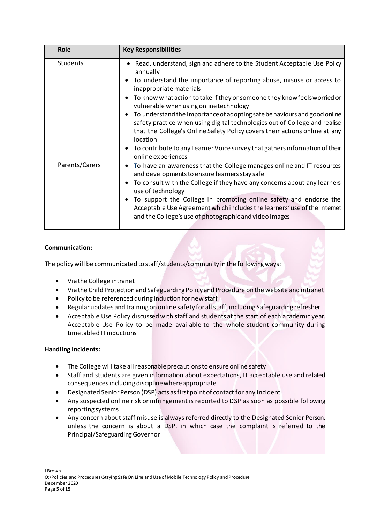| Role           | <b>Key Responsibilities</b>                                                                                                                                                                                          |
|----------------|----------------------------------------------------------------------------------------------------------------------------------------------------------------------------------------------------------------------|
| Students       | Read, understand, sign and adhere to the Student Acceptable Use Policy<br>annually                                                                                                                                   |
|                | To understand the importance of reporting abuse, misuse or access to<br>inappropriate materials                                                                                                                      |
|                | To know what action to take if they or someone they know feels worried or<br>$\bullet$<br>vulnerable when using online technology                                                                                    |
|                | To understand the importance of adopting safe be haviours and good online<br>$\bullet$<br>safety practice when using digital technologies out of College and realise                                                 |
|                | that the College's Online Safety Policy covers their actions online at any<br>location                                                                                                                               |
|                | To contribute to any Learner Voice survey that gathers information of their<br>$\bullet$<br>online experiences                                                                                                       |
| Parents/Carers | To have an awareness that the College manages online and IT resources<br>٠<br>and developments to ensure learners stay safe                                                                                          |
|                | To consult with the College if they have any concerns about any learners<br>$\bullet$<br>use of technology                                                                                                           |
|                | To support the College in promoting online safety and endorse the<br>$\bullet$<br>Acceptable Use Agreement which includes the learners' use of the intemet<br>and the College's use of photographic and video images |

#### **Communication:**

The policy will be communicated to staff/students/community in the following ways:

- Via the College intranet
- Via the Child Protection and Safeguarding Policy and Procedure on the website and intranet
- Policy to be referenced during induction for new staff
- Regular updates and training on online safety for all staff, including Safeguarding refresher
- Acceptable Use Policy discussed with staff and students at the start of each academic year. Acceptable Use Policy to be made available to the whole student community during timetabled IT inductions

#### **Handling Incidents:**

- The College will take all reasonable precautions to ensure online safety
- Staff and students are given information about expectations, IT acceptable use and related consequences including discipline where appropriate
- Designated Senior Person (DSP) acts as first point of contact for any incident
- Any suspected online risk or infringement is reported to DSP as soon as possible following reporting systems
- Any concern about staff misuse is always referred directly to the Designated Senior Person, unless the concern is about a DSP, in which case the complaint is referred to the Principal/Safeguarding Governor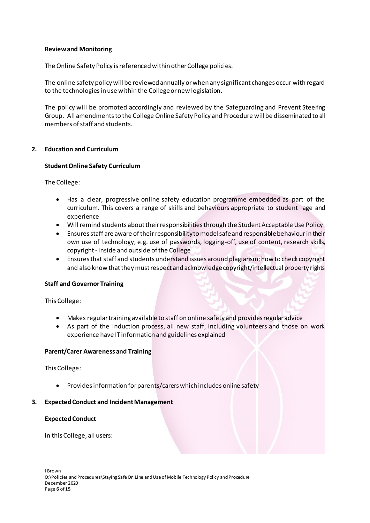#### **Review and Monitoring**

The Online Safety Policy is referenced within other College policies.

The online safety policy will be reviewed annually or when any significant changes occur with regard to the technologies in use within the College or new legislation.

The policy will be promoted accordingly and reviewed by the Safeguarding and Prevent Steering Group. All amendments to the College Online Safety Policy and Procedure will be disseminated to all members of staff and students.

#### **2. Education and Curriculum**

#### **Student Online Safety Curriculum**

The College:

- Has a clear, progressive online safety education programme embedded as part of the curriculum. This covers a range of skills and behaviours appropriate to student age and experience
- Will remind students about their responsibilities through the Student Acceptable Use Policy
- Ensures staff are aware of their responsibility to model safe and responsible behaviour in their own use of technology, e.g. use of passwords, logging-off, use of content, research skills, copyright - inside and outside of the College
- Ensures that staff and students understand issues around plagiarism; how to check copyright and also know that they must respect and acknowledge copyright/intellectual property rights

#### **Staff and Governor Training**

This College:

- Makes regular training available to staff on online safety and provides regular advice
- As part of the induction process, all new staff, including volunteers and those on work experience have IT information and guidelines explained

#### **Parent/Carer Awareness and Training**

This College:

• Provides information for parents/carers which includes online safety

#### **3. Expected Conduct and Incident Management**

#### **Expected Conduct**

In this College, all users: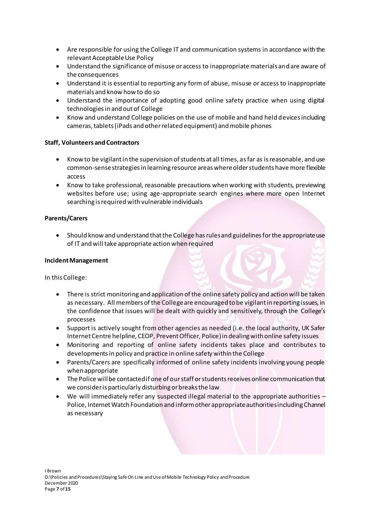- Are responsible for using the College IT and communication systems in accordance with the relevant Acceptable Use Policy
- Understand the significance of misuse or access to inappropriate materials and are aware of the consequences
- Understand it is essential to reporting any form of abuse, misuse or access to inappropriate materials and know how to do so
- Understand the importance of adopting good online safety practice when using digital technologies in and out of College
- Know and understand College policies on the use of mobile and hand held devices including cameras, tablets (iPads and other related equipment) and mobile phones

#### **Staff, Volunteers and Contractors**

- Know to be vigilant in the supervision of students at all times, as far as is reasonable, and use common-sense strategies in learning resource areas where older students have more flexible access
- Know to take professional, reasonable precautions when working with students, previewing websites before use; using age-appropriate search engines where more open Internet searching is required with vulnerable individuals

## **Parents/Carers**

• Should know and understand that the College has rulesand guidelines for the appropriate use of IT and will take appropriate action when required

#### **Incident Management**

In this College:

- There is strict monitoring and application of the online safety policy and action will be taken as necessary. All members of the College are encouraged to be vigilant in reporting issues, in the confidence that issues will be dealt with quickly and sensitively, through the College's processes
- Support is actively sought from other agencies as needed (i.e. the local authority, UK Safer Internet Centre helpline, CEOP, Prevent Officer, Police) in dealing with online safety issues
- Monitoring and reporting of online safety incidents takes place and contributes to developments in policy and practice in online safety within the College
- Parents/Carers are specifically informed of online safety incidents involving young people when appropriate
- The Police will be contacted if one of our staff or students receives online communication that we consider is particularly disturbing or breaks the law
- We will immediately refer any suspected illegal material to the appropriate authorities Police, Internet Watch Foundation and inform other appropriate authorities including Channel as necessary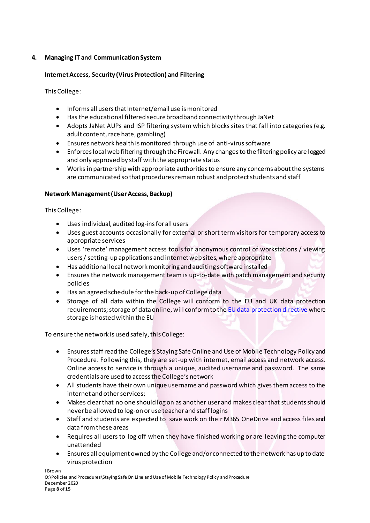# **4. Managing IT and Communication System**

## **Internet Access, Security (Virus Protection) and Filtering**

This College:

- Informs all users that Internet/email use is monitored
- Has the educational filtered secure broadband connectivity through JaNet
- Adopts JaNet AUPs and ISP filtering system which blocks sites that fall into categories (e.g. adult content, race hate, gambling)
- Ensures network health is monitored through use of anti-virus software
- Enforces local web filtering through the Firewall. Any changes to the filtering policy are logged and only approved by staff with the appropriate status
- Works in partnership with appropriate authorities to ensure any concerns about the systems are communicated so that procedures remain robust and protect students and staff

## **Network Management (User Access, Backup)**

This College:

- Uses individual, audited log-ins for all users
- Uses guest accounts occasionally for external or short term visitors for temporary access to appropriate services
- Uses 'remote' management access tools for anonymous control of workstations / viewing users / setting-up applications and internet web sites, where appropriate
- Has additional local network monitoring and auditing software installed
- Ensures the network management team is up-to-date with patch management and security policies
- Has an agreed schedule for the back-up of College data
- Storage of all data within the College will conform to the EU and UK data protection requirements; storage of data online, will conform to th[e EU data protection directive](http://en.wikipedia.org/wiki/Data_Protection_Directive) where storage is hosted within the EU

To ensure the network is used safely, this College:

- Ensures staff read the College's Staying Safe Online and Use of Mobile Technology Policy and Procedure. Following this, they are set-up with internet, email access and network access. Online access to service is through a unique, audited username and password. The same credentials are used to access the College's network
- All students have their own unique username and password which gives them access to the internet and other services;
- Makes clear that no one should log on as another user and makes clear that students should never be allowed to log-on or use teacher and staff logins
- Staff and students are expected to save work on their M365 OneDrive and access files and data from these areas
- Requires all users to log off when they have finished working or are leaving the computer unattended
- Ensures all equipment owned by the College and/or connected to the network has up to date virus protection

I Brown O:\Policies and Procedures\Staying Safe On Line and Use of Mobile Technology Policy and Procedure December 2020 Page **8** of **15**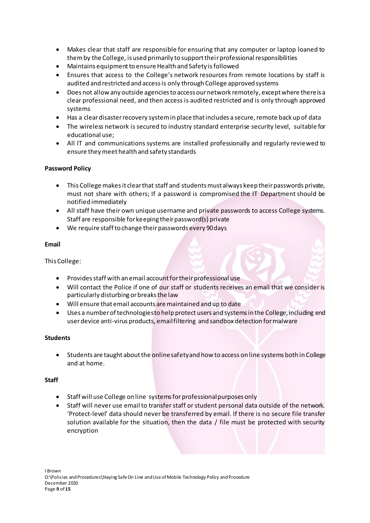- Makes clear that staff are responsible for ensuring that any computer or laptop loaned to them by the College, is used primarily to support their professional responsibilities
- Maintains equipment to ensure Health and Safety is followed
- Ensures that access to the College's network resources from remote locations by staff is audited and restricted and access is only through College approved systems
- Does not allow any outside agencies to access our network remotely, except where there is a clear professional need, and then access is audited restricted and is only through approved systems
- Has a clear disaster recovery system in place that includes a secure, remote back up of data
- The wireless network is secured to industry standard enterprise security level, suitable for educational use;
- All IT and communications systems are installed professionally and regularly reviewed to ensure they meet health and safety standards

## **Password Policy**

- This College makes it clear that staff and students must always keep their passwords private, must not share with others; If a password is compromised the IT Department should be notified immediately
- All staff have their own unique username and private passwords to access College systems. Staff are responsible for keeping their password(s) private
- We require staff to change their passwords every 90 days

## **Email**

## This College:

- Provides staff with an email account for their professional use
- Will contact the Police if one of our staff or students receives an email that we consider is particularly disturbing or breaks the law
- Will ensure that email accounts are maintained and up to date
- Uses a number of technologies to help protect users and systems in the College, including end user device anti-virus products, email filtering and sandbox detection for malware

## **Students**

• Students are taught about the online safety and how to access on line systems both in College and at home.

## **Staff**

- Staff will use College on line systems for professional purposes only
- Staff will never use email to transfer staff or student personal data outside of the network. 'Protect-level' data should never be transferred by email. If there is no secure file transfer solution available for the situation, then the data / file must be protected with security encryption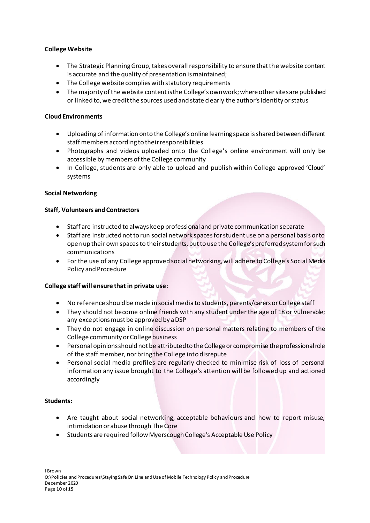## **College Website**

- The Strategic Planning Group, takes overall responsibility to ensure that the website content is accurate and the quality of presentation is maintained;
- The College website complies with statutory requirements
- The majority of the website content is the College's own work; where other sites are published or linked to, we credit the sources used and state clearly the author's identity or status

## **Cloud Environments**

- Uploading of information onto the College's online learning space is shared between different staff members according to their responsibilities
- Photographs and videos uploaded onto the College's online environment will only be accessible by members of the College community
- In College, students are only able to upload and publish within College approved 'Cloud' systems

## **Social Networking**

## **Staff, Volunteers and Contractors**

- Staff are instructed to always keep professional and private communication separate
- Staff are instructed not to run social network spaces for student use on a personal basis or to open up their own spaces to their students, but to use the College's preferredsystem for such communications
- For the use of any College approved social networking, will adhere to College's Social Media Policy and Procedure

## **College staff will ensure that in private use:**

- No reference should be made in social media to students, parents/carers or College staff
- They should not become online friends with any student under the age of 18 or vulnerable; any exceptions must be approved by a DSP
- They do not engage in online discussion on personal matters relating to members of the College community or College business
- Personal opinions should not be attributed to the College or compromise the professional role of the staff member, nor bring the College into disrepute
- Personal social media profiles are regularly checked to minimise risk of loss of personal information any issue brought to the College's attention will be followed up and actioned accordingly

## **Students:**

- Are taught about social networking, acceptable behaviours and how to report misuse, intimidation or abuse through The Core
- Students are required follow Myerscough College's Acceptable Use Policy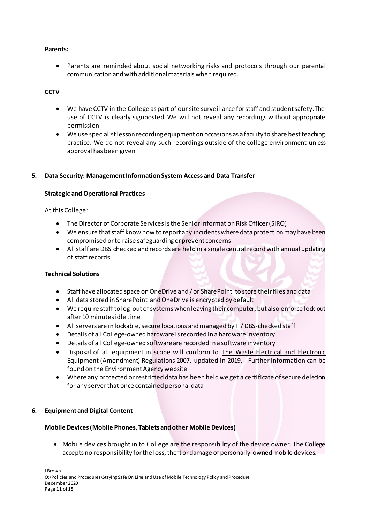#### **Parents:**

• Parents are reminded about social networking risks and protocols through our parental communication and with additional materials when required.

## **CCTV**

- We have CCTV in the College as part of our site surveillance for staff and student safety. The use of CCTV is clearly signposted. We will not reveal any recordings without appropriate permission
- We use specialist lesson recording equipment on occasions as a facility to share best teaching practice. We do not reveal any such recordings outside of the college environment unless approval has been given

## **5. Data Security: Management Information System Access and Data Transfer**

#### **Strategic and Operational Practices**

#### At this College:

- The Director of Corporate Servicesis the Senior Information Risk Officer (SIRO)
- We ensure that staff know how to report any incidents where data protection may have been compromised or to raise safeguarding or prevent concerns
- All staff are DBS checked and records are held in a single central record with annual updating of staff records

#### **Technical Solutions**

- Staff have allocated space on OneDrive and / or SharePoint to store their files and data
- All data stored in SharePoint and OneDrive is encrypted by default
- We require staff to log-out of systems when leaving their computer, but also enforce lock-out after 10 minutes idle time
- All servers are in lockable, secure locations and managed by IT/ DBS-checked staff
- Details of all College-owned hardware is recorded in a hardware inventory
- Details of all College-owned software are recorded in a software inventory
- Disposal of all equipment in scope will conform to [The Waste Electrical and Electronic](http://www.legislation.gov.uk/uksi/2007/3454/pdfs/uksi_20073454_en.pdf)  [Equipment \(Amendment\) Regulations 2007,](http://www.legislation.gov.uk/uksi/2007/3454/pdfs/uksi_20073454_en.pdf) updated in 2019. [Further information](http://www.environment-agency.gov.uk/business/topics/waste/32084.aspx) can be found on the Environment Agency website
- Where any protected or restricted data has been held we get a certificate of secure deletion for any server that once contained personal data

## **6. Equipment and Digital Content**

#### **Mobile Devices (Mobile Phones, Tablets and other Mobile Devices)**

• Mobile devices brought in to College are the responsibility of the device owner. The College accepts no responsibility for the loss, theft or damage of personally-owned mobile devices.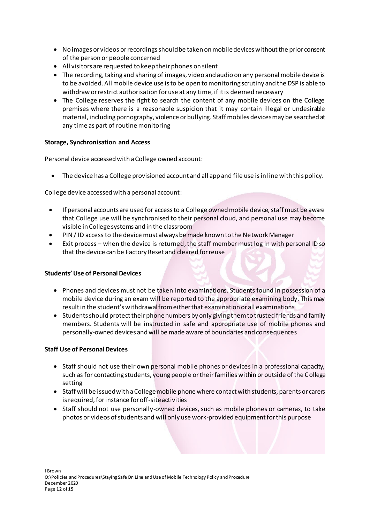- No images or videos or recordings should be taken on mobile devices without the prior consent of the person or people concerned
- All visitors are requested to keep their phones on silent
- The recording, taking and sharing of images, video and audio on any personal mobile device is to be avoided. All mobile device use is to be open to monitoring scrutiny and the DSP is able to withdraw or restrict authorisation for use at any time, if it is deemed necessary
- The College reserves the right to search the content of any mobile devices on the College premises where there is a reasonable suspicion that it may contain illegal or undesirable material, including pornography, violence or bullying. Staff mobiles devices may be searched at any time as part of routine monitoring

## **Storage, Synchronisation and Access**

Personal device accessed with a College owned account:

• The device has a College provisioned account and all app and file use is in line with this policy.

College device accessed with a personal account:

- If personal accounts are used for access to a College owned mobile device, staff must be aware that College use will be synchronised to their personal cloud, and personal use may become visible in College systems and in the classroom
- PIN / ID access to the device must always be made known to the Network Manager
- Exit process when the device is returned, the staff member must log in with personal ID so that the device can be Factory Reset and cleared for reuse

#### **Students' Use of Personal Devices**

- Phones and devices must not be taken into examinations. Students found in possession of a mobile device during an exam will be reported to the appropriate examining body. This may result in the student's withdrawal from either that examination or all examinations
- Students should protect their phone numbers by only giving them to trusted friends and family members. Students will be instructed in safe and appropriate use of mobile phones and personally-owned devices and will be made aware of boundaries and consequences

#### **Staff Use of Personal Devices**

- Staff should not use their own personal mobile phones or devices in a professional capacity, such as for contacting students, young people or their families within or outside of the College setting
- Staff will be issued with a College mobile phone where contact with students, parents or carers is required, for instance for off-site activities
- Staff should not use personally-owned devices, such as mobile phones or cameras, to take photos or videos of students and will only use work-provided equipment for this purpose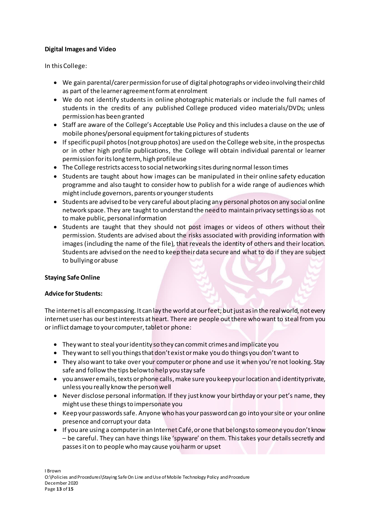## **Digital Images and Video**

In this College:

- We gain parental/carer permission for use of digital photographs or video involving their child as part of the learner agreement form at enrolment
- We do not identify students in online photographic materials or include the full names of students in the credits of any published College produced video materials/DVDs; unless permission has been granted
- Staff are aware of the College's Acceptable Use Policy and this includes a clause on the use of mobile phones/personal equipment for taking pictures of students
- If specific pupil photos (not group photos) are used on the College web site, in the prospectus or in other high profile publications, the College will obtain individual parental or learner permission for its long term, high profile use
- The College restricts access to social networking sites during normal lesson times
- Students are taught about how images can be manipulated in their online safety education programme and also taught to consider how to publish for a wide range of audiences which might include governors, parents or younger students
- Students are advised to be very careful about placing any personal photos on any social online network space. They are taught to understand the need to maintain privacy settings so as not to make public, personal information
- Students are taught that they should not post images or videos of others without their permission. Students are advised about the risks associated with providing information with images (including the name of the file), that reveals the identity of others and their location. Students are advised on the need to keep their data secure and what to do if they are subject to bullying or abuse

## **Staying Safe Online**

## **Advice for Students:**

The internet is all encompassing. It can lay the world at our feet; but just as in the real world, not every internet user has our best interests at heart. There are people out there who want to steal from you or inflict damage to your computer, tablet or phone:

- They want to steal your identity so they can commit crimes and implicate you
- They want to sell you things that don't exist or make you do things you don't want to
- They also want to take over your computer or phone and use it when you're not looking. Stay safe and follow the tips below to help you stay safe
- you answer emails, texts or phone calls,make sure you keep your location and identity private, unless you really know the person well
- Never disclose personal information. If they just know your birthday or your pet's name, they might use these things to impersonate you
- Keep your passwords safe. Anyone who has your password can go into your site or your online presence and corrupt your data
- If you are using a computer in an Internet Café, or one that belongs to someone you don't know – be careful. They can have things like 'spyware' on them. This takes your details secretly and passes it on to people who may cause you harm or upset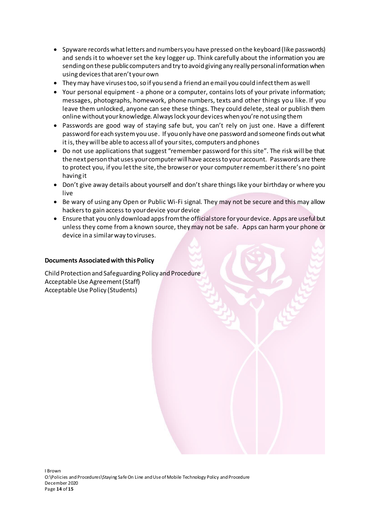- Spyware records what letters and numbers you have pressed on the keyboard (like passwords) and sends it to whoever set the key logger up. Think carefully about the information you are sending on these public computers and try to avoid giving any really personal information when using devices that aren't your own
- They may have viruses too, so if you send a friend an email you could infect them as well
- Your personal equipment a phone or a computer, contains lots of your private information; messages, photographs, homework, phone numbers, texts and other things you like. If you leave them unlocked, anyone can see these things. They could delete, steal or publish them online without your knowledge. Always lock your devices when you're not using them
- Passwords are good way of staying safe but, you can't rely on just one. Have a different password for each system you use. If you only have one password and someone finds out what it is, they will be able to access all of your sites, computers and phones
- Do not use applications that suggest "remember password for this site". The risk will be that the next person that uses your computer will have access to your account. Passwords are there to protect you, if you let the site, the browser or your computer rememberit there's no point having it
- Don't give away details about yourself and don't share things like your birthday or where you live
- Be wary of using any Open or Public Wi-Fi signal. They may not be secure and this may allow hackers to gain access to your device your device
- Ensure that you only download apps from the official store for your device. Apps are useful but unless they come from a known source, they may not be safe. Apps can harm your phone or device in a similar way to viruses.

## **Documents Associated with this Policy**

Child Protection and Safeguarding Policy and Procedure Acceptable Use Agreement (Staff) Acceptable Use Policy (Students)